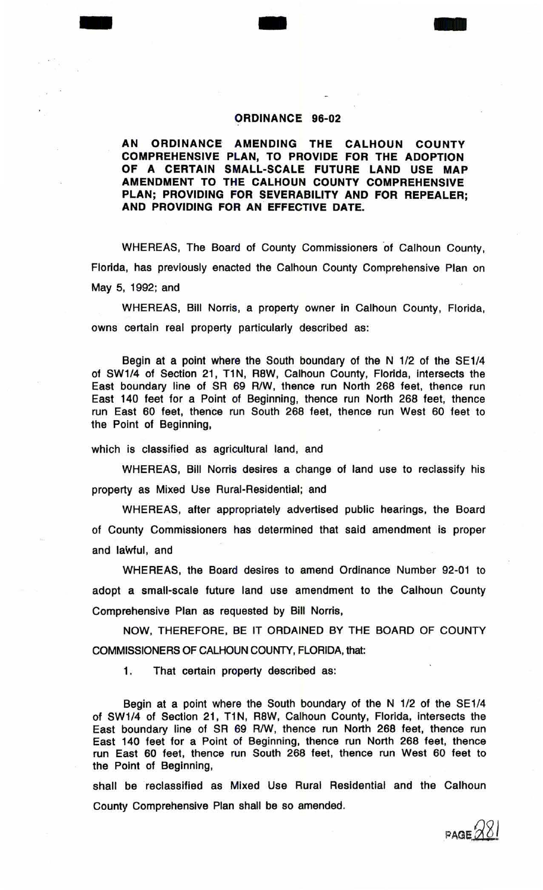## **ORDiNANCE 96-02**

- - -

## **AN ORDINANCE· AMENDING THE CALHOUN COUNTY COMPREHENSIVE PLAN, TO PROVIDE FOR THE ADOPTION OF A CERTAIN SMALL-SCALE FUTURE LAND USE MAP AMENDMENT TO THE CALHOUN COUNTY COMPREHENSIVE PLAN; PROVIDING FOR SEVERABILITY AND FOR REPEALER; AND PROVIDING FOR AN EFFECTIVE DATE.**

WHEREAS, The Board of County Commissioners 'of Calhoun County, Florida, has previously enacted the Calhoun County Comprehensive Plan on May 5, 1992; and

WHEREAS, Bill Norris, a property owner in Calhoun County, Florida, owns certain real property particularly described as:

Begin at a point where the South boundary of the N 1/2 of the SE1/4 of SW1/4 of Section 21, T1N, R8W, Calhoun County, Florida, Intersects the East boundary line of SR 69 R/W, thence run North 268 feet, thence run East 140 feet for a Point of Beginning, thence run North 268 feet, thence run East 60 feet, thence run South 268 feet, thence run West 60 feet to the Point of Beginning,

which is classified as agricultural land, and

WHEREAS, Bill Norris desires a change of land use to reclassify his property as Mixed Use Rural-Residential; and

WHEREAS, after appropriately advertised public hearings, the Board of County Commissioners has determined that said amendment is proper and laWful, and

WHEREAS, the Board desires to amend Ordinance Number 92-01 to adopt a small-scale future land use amendment to the Calhoun County Comprehensive Plan as requested by Bill Norris,

NOW, THEREFORE, BE IT ORDAINED BY THE BOARD OF COUNTY COMMISSIONERS OF CALHOUN COUNTY, FLORIDA, that:

1. That certain property described as:

Begin at a point where the South boundary of the N 1/2 of the SE1/4 of SW1/4 of Section 21, T1N, R8W, Calhoun County, Florida, intersects the East boundary line of SR 69 R/W, thence run North 268 feet, thence run East 140 feet for a Point of Beginning, thence run North 268 feet, thence run East 60 feet, thence run South 268 feet, thence run West 60 feet to the Point of Beginning,

shall be reclassified as Mixed Use Rural Residential and the Calhoun County Comprehensive Plan shall be so amended.

 $PAGE281$